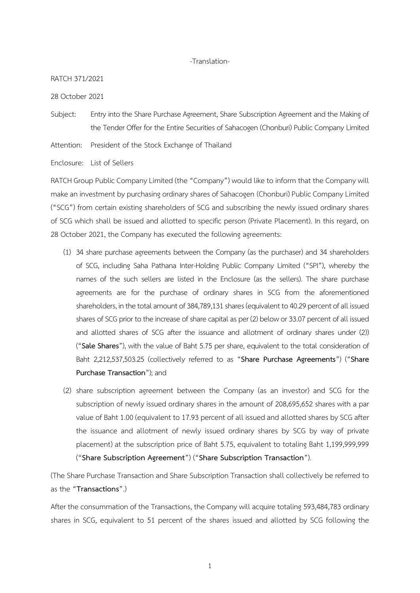## -Translation-

## RATCH 371/2021

28 October 2021

Subject: Entry into the Share Purchase Agreement, Share Subscription Agreement and the Making of the Tender Offer for the Entire Securities of Sahacogen (Chonburi) Public Company Limited

Attention: President of the Stock Exchange of Thailand

Enclosure: List of Sellers

RATCH Group Public Company Limited (the "Company") would like to inform that the Company will make an investment by purchasing ordinary shares of Sahacogen (Chonburi) Public Company Limited ("SCG") from certain existing shareholders of SCG and subscribing the newly issued ordinary shares of SCG which shall be issued and allotted to specific person (Private Placement). In this regard, on 28 October 2021, the Company has executed the following agreements:

- (1) 34 share purchase agreements between the Company (as the purchaser) and 34 shareholders of SCG, including Saha Pathana Inter-Holding Public Company Limited ("SPI"), whereby the names of the such sellers are listed in the Enclosure (as the sellers). The share purchase agreements are for the purchase of ordinary shares in SCG from the aforementioned shareholders, in the total amount of 384,789,131 shares (equivalent to 40.29 percent of all issued shares of SCG prior to the increase of share capital as per (2) below or 33.07 percent of all issued and allotted shares of SCG after the issuance and allotment of ordinary shares under (2)) ("**Sale Shares**"), with the value of Baht 5.75 per share, equivalent to the total consideration of Baht 2,212,537,503.25 (collectively referred to as "**Share Purchase Agreements**") ("**Share Purchase Transaction**"); and
- (2) share subscription agreement between the Company (as an investor) and SCG for the subscription of newly issued ordinary shares in the amount of 208,695,652 shares with a par value of Baht 1.00 (equivalent to 17.93 percent of all issued and allotted shares by SCG after the issuance and allotment of newly issued ordinary shares by SCG by way of private placement) at the subscription price of Baht 5.75, equivalent to totaling Baht 1,199,999,999 ("**Share Subscription Agreement**") ("**Share Subscription Transaction**").

(The Share Purchase Transaction and Share Subscription Transaction shall collectively be referred to as the "**Transactions**".)

After the consummation of the Transactions, the Company will acquire totaling 593,484,783 ordinary shares in SCG, equivalent to 51 percent of the shares issued and allotted by SCG following the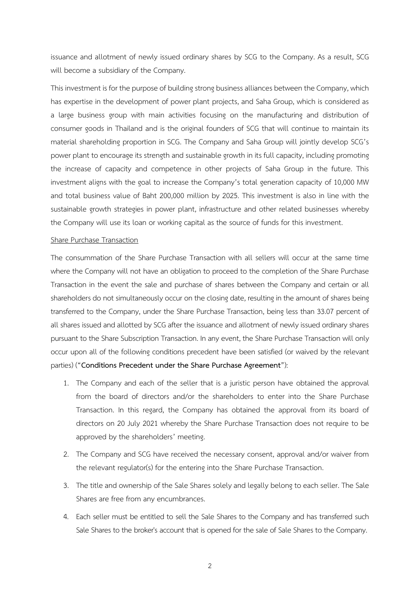issuance and allotment of newly issued ordinary shares by SCG to the Company. As a result, SCG will become a subsidiary of the Company.

This investment is for the purpose of building strong business alliances between the Company, which has expertise in the development of power plant projects, and Saha Group, which is considered as a large business group with main activities focusing on the manufacturing and distribution of consumer goods in Thailand and is the original founders of SCG that will continue to maintain its material shareholding proportion in SCG. The Company and Saha Group will jointly develop SCG's power plant to encourage its strength and sustainable growth in its full capacity, including promoting the increase of capacity and competence in other projects of Saha Group in the future. This investment aligns with the goal to increase the Company's total generation capacity of 10,000 MW and total business value of Baht 200,000 million by 2025. This investment is also in line with the sustainable growth strategies in power plant, infrastructure and other related businesses whereby the Company will use its loan or working capital as the source of funds for this investment.

## Share Purchase Transaction

The consummation of the Share Purchase Transaction with all sellers will occur at the same time where the Company will not have an obligation to proceed to the completion of the Share Purchase Transaction in the event the sale and purchase of shares between the Company and certain or all shareholders do not simultaneously occur on the closing date, resulting in the amount of shares being transferred to the Company, under the Share Purchase Transaction, being less than 33.07 percent of all shares issued and allotted by SCG after the issuance and allotment of newly issued ordinary shares pursuant to the Share Subscription Transaction. In any event, the Share Purchase Transaction will only occur upon all of the following conditions precedent have been satisfied (or waived by the relevant parties) ("**Conditions Precedent under the Share Purchase Agreement**"):

- 1. The Company and each of the seller that is a juristic person have obtained the approval from the board of directors and/or the shareholders to enter into the Share Purchase Transaction. In this regard, the Company has obtained the approval from its board of directors on 20 July 2021 whereby the Share Purchase Transaction does not require to be approved by the shareholders' meeting.
- 2. The Company and SCG have received the necessary consent, approval and/or waiver from the relevant regulator(s) for the entering into the Share Purchase Transaction.
- 3. The title and ownership of the Sale Shares solely and legally belong to each seller. The Sale Shares are free from any encumbrances.
- 4. Each seller must be entitled to sell the Sale Shares to the Company and has transferred such Sale Shares to the broker's account that is opened for the sale of Sale Shares to the Company.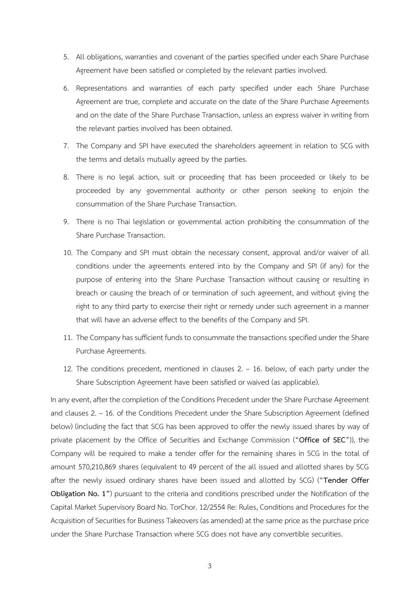- 5. All obligations, warranties and covenant of the parties specified under each Share Purchase Agreement have been satisfied or completed by the relevant parties involved.
- 6. Representations and warranties of each party specified under each Share Purchase Agreement are true, complete and accurate on the date of the Share Purchase Agreements and on the date of the Share Purchase Transaction, unless an express waiver in writing from the relevant parties involved has been obtained.
- 7. The Company and SPI have executed the shareholders agreement in relation to SCG with the terms and details mutually agreed by the parties.
- 8. There is no legal action, suit or proceeding that has been proceeded or likely to be proceeded by any governmental authority or other person seeking to enjoin the consummation of the Share Purchase Transaction.
- 9. There is no Thai legislation or governmental action prohibiting the consummation of the Share Purchase Transaction.
- 10. The Company and SPI must obtain the necessary consent, approval and/or waiver of all conditions under the agreements entered into by the Company and SPI (if any) for the purpose of entering into the Share Purchase Transaction without causing or resulting in breach or causing the breach of or termination of such agreement, and without giving the right to any third party to exercise their right or remedy under such agreement in a manner that will have an adverse effect to the benefits of the Company and SPI.
- 11. The Company has sufficient funds to consummate the transactions specified under the Share Purchase Agreements.
- 12. The conditions precedent, mentioned in clauses 2. 16. below, of each party under the Share Subscription Agreement have been satisfied or waived (as applicable).

In any event, after the completion of the Conditions Precedent under the Share Purchase Agreement and clauses 2. – 16. of the Conditions Precedent under the Share Subscription Agreement (defined below) (including the fact that SCG has been approved to offer the newly issued shares by way of private placement by the Office of Securities and Exchange Commission ("**Office of SEC**")), the Company will be required to make a tender offer for the remaining shares in SCG in the total of amount 570,210,869 shares (equivalent to 49 percent of the all issued and allotted shares by SCG after the newly issued ordinary shares have been issued and allotted by SCG) ("**Tender Offer Obligation No. 1"**) pursuant to the criteria and conditions prescribed under the Notification of the Capital Market Supervisory Board No. TorChor. 12/2554 Re: Rules, Conditions and Procedures for the Acquisition of Securities for Business Takeovers (as amended) at the same price as the purchase price under the Share Purchase Transaction where SCG does not have any convertible securities.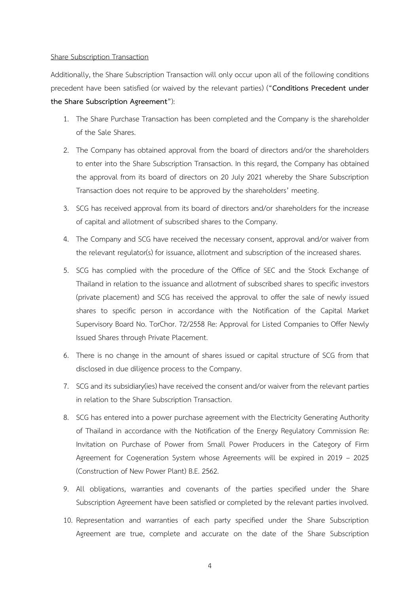## Share Subscription Transaction

Additionally, the Share Subscription Transaction will only occur upon all of the following conditions precedent have been satisfied (or waived by the relevant parties) ("**Conditions Precedent under the Share Subscription Agreement**"):

- 1. The Share Purchase Transaction has been completed and the Company is the shareholder of the Sale Shares.
- 2. The Company has obtained approval from the board of directors and/or the shareholders to enter into the Share Subscription Transaction. In this regard, the Company has obtained the approval from its board of directors on 20 July 2021 whereby the Share Subscription Transaction does not require to be approved by the shareholders' meeting.
- 3. SCG has received approval from its board of directors and/or shareholders for the increase of capital and allotment of subscribed shares to the Company.
- 4. The Company and SCG have received the necessary consent, approval and/or waiver from the relevant regulator(s) for issuance, allotment and subscription of the increased shares.
- 5. SCG has complied with the procedure of the Office of SEC and the Stock Exchange of Thailand in relation to the issuance and allotment of subscribed shares to specific investors (private placement) and SCG has received the approval to offer the sale of newly issued shares to specific person in accordance with the Notification of the Capital Market Supervisory Board No. TorChor. 72/2558 Re: Approval for Listed Companies to Offer Newly Issued Shares through Private Placement.
- 6. There is no change in the amount of shares issued or capital structure of SCG from that disclosed in due diligence process to the Company.
- 7. SCG and its subsidiary(ies) have received the consent and/or waiver from the relevant parties in relation to the Share Subscription Transaction.
- 8. SCG has entered into a power purchase agreement with the Electricity Generating Authority of Thailand in accordance with the Notification of the Energy Regulatory Commission Re: Invitation on Purchase of Power from Small Power Producers in the Category of Firm Agreement for Cogeneration System whose Agreements will be expired in 2019 – 2025 (Construction of New Power Plant) B.E. 2562.
- 9. All obligations, warranties and covenants of the parties specified under the Share Subscription Agreement have been satisfied or completed by the relevant parties involved.
- 10. Representation and warranties of each party specified under the Share Subscription Agreement are true, complete and accurate on the date of the Share Subscription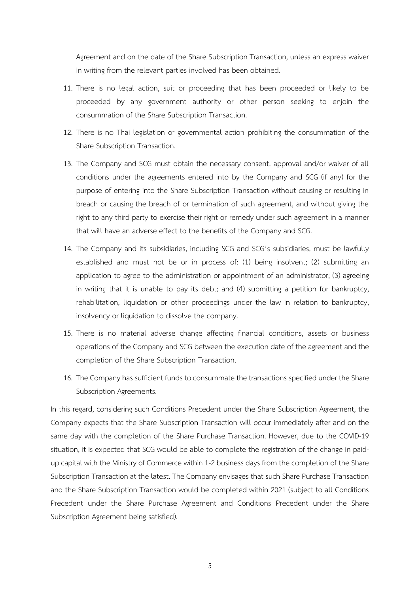Agreement and on the date of the Share Subscription Transaction, unless an express waiver in writing from the relevant parties involved has been obtained.

- 11. There is no legal action, suit or proceeding that has been proceeded or likely to be proceeded by any government authority or other person seeking to enjoin the consummation of the Share Subscription Transaction.
- 12. There is no Thai legislation or governmental action prohibiting the consummation of the Share Subscription Transaction.
- 13. The Company and SCG must obtain the necessary consent, approval and/or waiver of all conditions under the agreements entered into by the Company and SCG (if any) for the purpose of entering into the Share Subscription Transaction without causing or resulting in breach or causing the breach of or termination of such agreement, and without giving the right to any third party to exercise their right or remedy under such agreement in a manner that will have an adverse effect to the benefits of the Company and SCG.
- 14. The Company and its subsidiaries, including SCG and SCG's subsidiaries, must be lawfully established and must not be or in process of: (1) being insolvent; (2) submitting an application to agree to the administration or appointment of an administrator; (3) agreeing in writing that it is unable to pay its debt; and (4) submitting a petition for bankruptcy, rehabilitation, liquidation or other proceedings under the law in relation to bankruptcy, insolvency or liquidation to dissolve the company.
- 15. There is no material adverse change affecting financial conditions, assets or business operations of the Company and SCG between the execution date of the agreement and the completion of the Share Subscription Transaction.
- 16. The Company has sufficient funds to consummate the transactions specified under the Share Subscription Agreements.

In this regard, considering such Conditions Precedent under the Share Subscription Agreement, the Company expects that the Share Subscription Transaction will occur immediately after and on the same day with the completion of the Share Purchase Transaction. However, due to the COVID-19 situation, it is expected that SCG would be able to complete the registration of the change in paidup capital with the Ministry of Commerce within 1-2 business days from the completion of the Share Subscription Transaction at the latest. The Company envisages that such Share Purchase Transaction and the Share Subscription Transaction would be completed within 2021 (subject to all Conditions Precedent under the Share Purchase Agreement and Conditions Precedent under the Share Subscription Agreement being satisfied).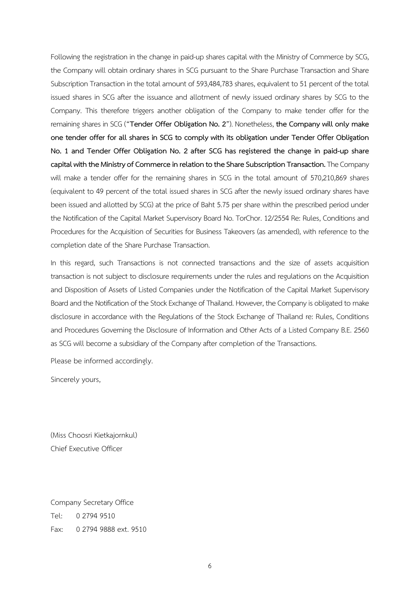Following the registration in the change in paid-up shares capital with the Ministry of Commerce by SCG, the Company will obtain ordinary shares in SCG pursuant to the Share Purchase Transaction and Share Subscription Transaction in the total amount of 593,484,783 shares, equivalent to 51 percent of the total issued shares in SCG after the issuance and allotment of newly issued ordinary shares by SCG to the Company. This therefore triggers another obligation of the Company to make tender offer for the remaining shares in SCG ("**Tender Offer Obligation No. 2**"). Nonetheless, **the Company will only make one tender offer for all shares in SCG to comply with its obligation under Tender Offer Obligation No. 1 and Tender Offer Obligation No. 2 after SCG has registered the change in paid-up share capital with the Ministry of Commerce in relation to the Share Subscription Transaction.**The Company will make a tender offer for the remaining shares in SCG in the total amount of 570,210,869 shares (equivalent to 49 percent of the total issued shares in SCG after the newly issued ordinary shares have been issued and allotted by SCG) at the price of Baht 5.75 per share within the prescribed period under the Notification of the Capital Market Supervisory Board No. TorChor. 12/2554 Re: Rules, Conditions and Procedures for the Acquisition of Securities for Business Takeovers (as amended), with reference to the completion date of the Share Purchase Transaction.

In this regard, such Transactions is not connected transactions and the size of assets acquisition transaction is not subject to disclosure requirements under the rules and regulations on the Acquisition and Disposition of Assets of Listed Companies under the Notification of the Capital Market Supervisory Board and the Notification of the Stock Exchange of Thailand. However, the Company is obligated to make disclosure in accordance with the Regulations of the Stock Exchange of Thailand re: Rules, Conditions and Procedures Governing the Disclosure of Information and Other Acts of a Listed Company B.E. 2560 as SCG will become a subsidiary of the Company after completion of the Transactions.

Please be informed accordingly.

Sincerely yours,

(Miss Choosri Kietkajornkul) Chief Executive Officer

Company Secretary Office Tel: 0 2794 9510 Fax: 0 2794 9888 ext. 9510